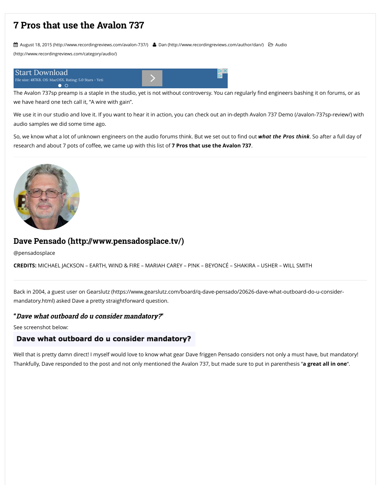

# **Dave Pensado (http://www.pensadosplace.tv/)**

@pensadosplace

**CREDITS:** [MICHAEL JACKSON – EARTH, WIND & FIRE –](http://www.recordingreviews.com/avalon-737/) [MARIA](http://www.recordingreviews.com/category/audio/)H CAREY – P!NK -

[Back in 2004, a guest u](https://googleads.g.doubleclick.net/aclk?sa=l&ai=C4naP3nWmVqiMHeOUlAKL1xGp2fb9Bvm1ot64AsCNtwEQASCKsJgrYMm2_obIo5AZoAHH2cnEA8gBAagDAcgDwwSqBJABT9DCFd4cPwdeFfwmSbvOWvgYU7wuNDhaKOYjsKs1RR_Z8TacLxMhK6w8wWXvuGEvQj15bICCNPosykRc8-8lk3TXK3eEKJCZBbgC-0V0w8u17D7AZ6O_87b87_51U0O0WaS6mYts5rOTqBFpRZw07UpDuAS1dHkyiJTqjlD8o_knezlehC7l6lF1oOl8LqKBgAehprY7qAemvhvYBwHYEwg&num=1&sig=AOD64_0QaLC6EQkvtoQZDiwwKeIJbZqvEQ&client=ca-pub-5534271221316382&adurl=http://playeti.com/media_player/)ser on Gearslutz (https://www.gearslutz.com/board/qmandatory.html) asked Dave a pretty straightforwar[d questio](https://googleads.g.doubleclick.net/aclk?sa=l&ai=C4naP3nWmVqiMHeOUlAKL1xGp2fb9Bvm1ot64AsCNtwEQASCKsJgrYMm2_obIo5AZoAHH2cnEA8gBAagDAcgDwwSqBJABT9DCFd4cPwdeFfwmSbvOWvgYU7wuNDhaKOYjsKs1RR_Z8TacLxMhK6w8wWXvuGEvQj15bICCNPosykRc8-8lk3TXK3eEKJCZBbgC-0V0w8u17D7AZ6O_87b87_51U0O0WaS6mYts5rOTqBFpRZw07UpDuAS1dHkyiJTqjlD8o_knezlehC7l6lF1oOl8LqKBgAehprY7qAemvhvYBwHYEwg&num=1&sig=AOD64_0QaLC6EQkvtoQZDiwwKeIJbZqvEQ&client=ca-pub-5534271221316382&adurl=http://playeti.com/media_player/)n.

#### **"Dave what outboard do u consider mandatory?"**

See screenshot below:

### Dave what outboard do u consider mandatory?

Well that is pretty damn direct! I myself would love to know what gear Dave fi Thankfully, Dave responded to the post and not only mentioned the Avalon 7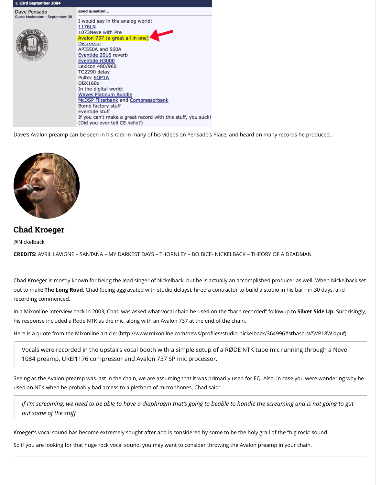# **Chad Kroeger**

@Nickelback

**CREDITS:** AVRIL LAVIGNE – SANTANA – MY DARKEST DAYS – THORNLEY – BO I

Chad Kroeger is mostly known for being the lead singer of Nickelback, but he out to make The Long Road, Chad (being aggravated with studio delays), hire recording commenced.

In a Mixonline interview back in 2003, Chad was asked what vocal chain he us his response included a Rode NTK as the mic, along with an Avalon 737 at the

Here is a quote from the Mixonline article: (http://www.mixonline.com/news/

Vocals were recorded in the upstairs vocal booth with a simple se 1084 preamp, UREI1176 compressor and Avalon 737 SP mic proce

Seeing as the Avalon preamp was last in the chain, we are assuming that it we used an NTK when he probably had access to a plethora of microphones, Cha

*If I'm screaming, we need to be able to have a diaphragm that's going out some of the stuff*

Kroeger's vocal sound has become extremely sought after and is considered

So if you are looking for that huge rock vocal sound, you may want to conside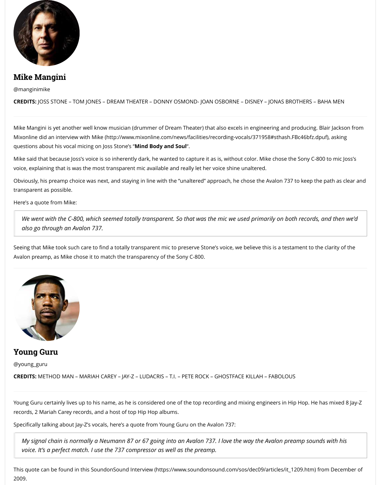*also go through an Avalon 737.*

Seeing that Mike took such care to find a totally transparent mic to preserve ! Avalon preamp, as Mike chose it to match the transparency of the Sony C-800



# **Young Guru**

@young\_g[uru](http://www.mixonline.com/news/facilities/recording-vocals/371958#sthash.FBc46bfz.dpuf)

**CREDITS:** METHOD MAN – MARIAH CAREY – JAY-Z – LUDACRIS – T.I. – PETE RO

Young Guru certainly lives up to his name, as he is considered one of the top. records, 2 Mariah Carey records, and a host of top Hip Hop albums.

Specifically talking about Jay-Z's vocals, here's a quote from Young Guru on th

*My signal chain is normally a Neumann 87 or 67 going into an Avalor voice. It's a perfect match. I use the 737 compressor as well as the preamp.* 

This quote can be found in this SoundonSound Interview (https://www.sound 2009.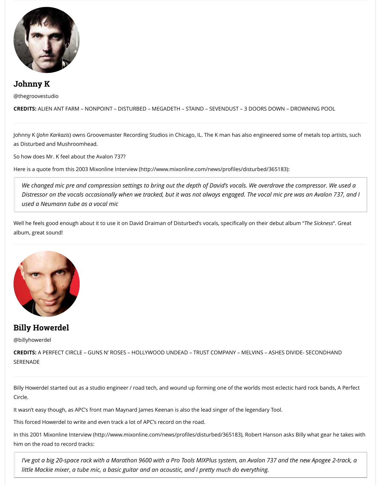Well he feels good enough about it to use it on David Draiman of Disturbed's vocals, specifically on their debut album "*The Sickness*". Great album, great sound!



# **Billy Howerdel**

@billyhowerdel

**CREDITS:** A PERFECT CIRCLE – GUNS N' ROSES – HOLLYWOOD UNDEAD – TRU **SERENADE** 

Billy Howerdel started out as a studio engineer / road tech, and wound up for Circle.

It wasn't easy though, as APC's front man Maynard James Keenan is also the l

This forced Howerdel to write and even track a lot of APC's record on the road

In this 2001 Mixonline Interview (http://www.mixonline.com/news/profiles/dister Hanson as him on the road to record tracks:

*I've got a big 20-space rack with a Marathon 9600 with a Pro Tools Mi little Mackie mixer, a tube mic, a basic guitar and an acoustic, and I p*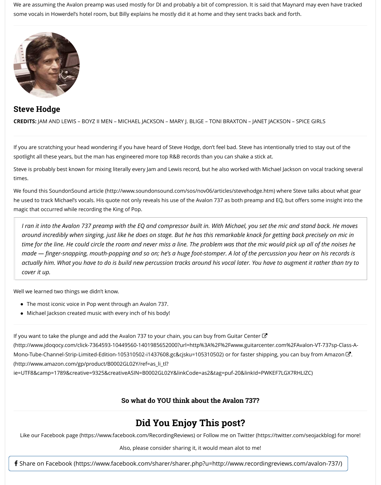*I ran it into the Avalon 737 preamp with the EQ and compressor built in. With Michael, you set the mic and stand back. He moves around incredibly when singing, just like he does on stage. But he has time for the line. He could circle the room and never miss a line. The paire in the problem was the noise here the noise here made — finger-snapping, mouth-popping and so on; he's a huge foot actually him. What you have to do is build new percussion tracks around tracks around actually him. What you have to do is build new percussion tracks arou cover it up.*

Well we learned two things we didn't know.

- The most iconic voice in Pop went through an Avalon 737.
- Michael Jackson created music with every inch of his body!

If you want to take the plunge and add the Avalon 737 to your chain, you can (http://www.jdoqocy.com/click-7364593-10449560-1401985652000?url=http% Mono-Tube-Channel-Strip-Limited-Edition-105310502-i1437608.gc&cjsku=10! (http://www.amazon.com/gp/product/B0002GL02Y/ref=as\_li\_tl? ie=UTF8&camp=1789&creative=9325&creativeASIN=B0002GL02Y&linkCode=

### **So what do YOU think abo**

# **Did You Enjoy 7**

Like our Facebook page (https://www.facebook.com/RecordingReviews) or

Also, please consider sharing it, it

**f** Share on Facebook (https://www.facebook.com/sharer/sharer.php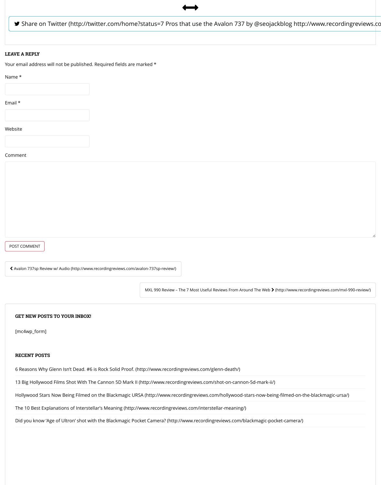& Avalon 737sp Review w/ Audio (http://www.recordingreviews.com/avalon-737sp-review/)

MXL 990 Review - The 7 Most U

#### **GET NEW POSTS TO YOUR INBOX!**

[mc4wp\_form]

#### **RECENT POSTS**

6 Reasons Why Glenn Isn't Dead. #6 is Rock Solid Proof. (http://www.recordingreviews.c

13 Big Hollywood Films Shot With The Cannon 5D Mark II (http://www.recordingreviews

Hollywood Stars Now Being Filmed on the Blackmagic URSA (http://www.recordingrevie

The 10 Best Explanations of Interstellar's Meaning (http://www.recordingreviews.com/ir

Did you know 'Age of Ultron' shot with the Blackmagic Pocket Camera? (http://www.recom/